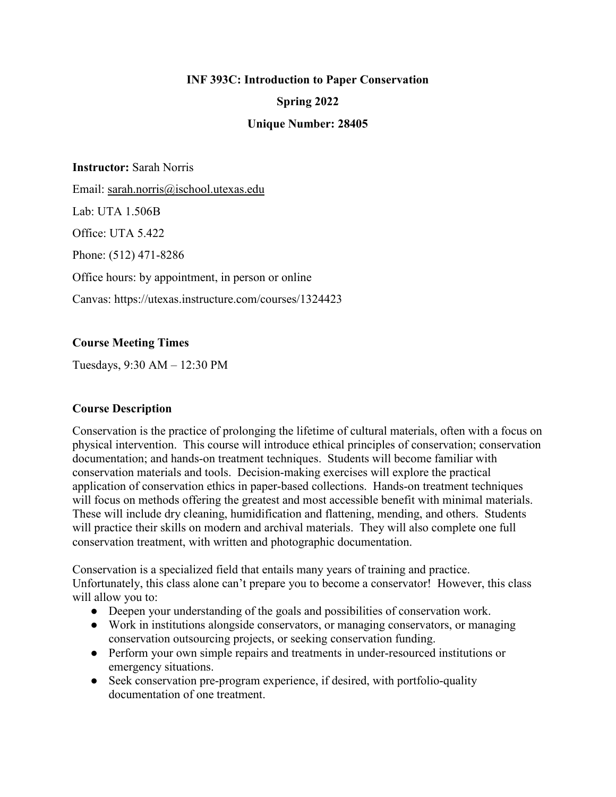# **INF 393C: Introduction to Paper Conservation**

### **Spring 2022**

### **Unique Number: 28405**

**Instructor:** Sarah Norris

Email: [sarah.norris@ischool.utexas.edu](mailto:sarah.norris@ischool.utexas.edu)

Lab: UTA 1.506B

Office: UTA 5.422

Phone: (512) 471-8286

Office hours: by appointment, in person or online

Canvas: https://utexas.instructure.com/courses/1324423

### **Course Meeting Times**

Tuesdays, 9:30 AM – 12:30 PM

### **Course Description**

Conservation is the practice of prolonging the lifetime of cultural materials, often with a focus on physical intervention. This course will introduce ethical principles of conservation; conservation documentation; and hands-on treatment techniques. Students will become familiar with conservation materials and tools. Decision-making exercises will explore the practical application of conservation ethics in paper-based collections. Hands-on treatment techniques will focus on methods offering the greatest and most accessible benefit with minimal materials. These will include dry cleaning, humidification and flattening, mending, and others. Students will practice their skills on modern and archival materials. They will also complete one full conservation treatment, with written and photographic documentation.

Conservation is a specialized field that entails many years of training and practice. Unfortunately, this class alone can't prepare you to become a conservator! However, this class will allow you to:

- Deepen your understanding of the goals and possibilities of conservation work.
- Work in institutions alongside conservators, or managing conservators, or managing conservation outsourcing projects, or seeking conservation funding.
- Perform your own simple repairs and treatments in under-resourced institutions or emergency situations.
- Seek conservation pre-program experience, if desired, with portfolio-quality documentation of one treatment.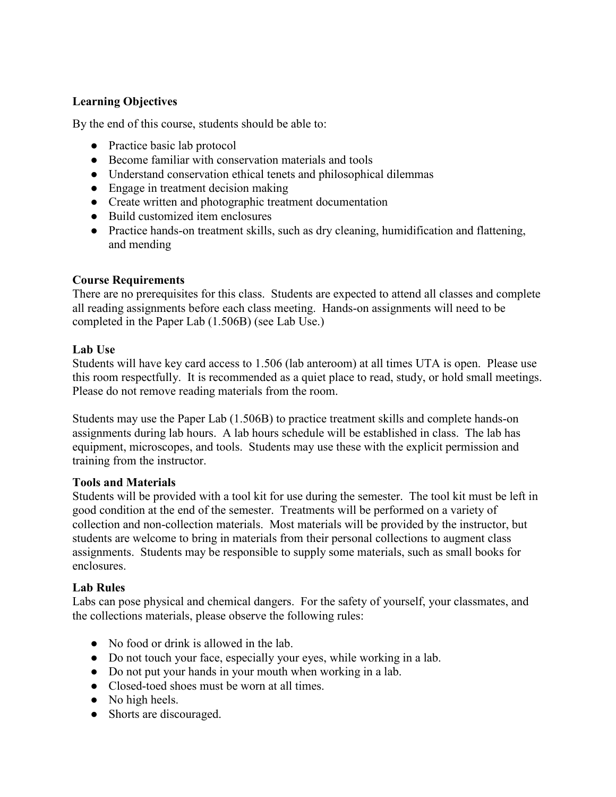## **Learning Objectives**

By the end of this course, students should be able to:

- Practice basic lab protocol
- Become familiar with conservation materials and tools
- Understand conservation ethical tenets and philosophical dilemmas
- Engage in treatment decision making
- Create written and photographic treatment documentation
- Build customized item enclosures
- Practice hands-on treatment skills, such as dry cleaning, humidification and flattening, and mending

### **Course Requirements**

There are no prerequisites for this class. Students are expected to attend all classes and complete all reading assignments before each class meeting. Hands-on assignments will need to be completed in the Paper Lab (1.506B) (see Lab Use.)

### **Lab Use**

Students will have key card access to 1.506 (lab anteroom) at all times UTA is open. Please use this room respectfully. It is recommended as a quiet place to read, study, or hold small meetings. Please do not remove reading materials from the room.

Students may use the Paper Lab (1.506B) to practice treatment skills and complete hands-on assignments during lab hours. A lab hours schedule will be established in class. The lab has equipment, microscopes, and tools. Students may use these with the explicit permission and training from the instructor.

#### **Tools and Materials**

Students will be provided with a tool kit for use during the semester. The tool kit must be left in good condition at the end of the semester. Treatments will be performed on a variety of collection and non-collection materials. Most materials will be provided by the instructor, but students are welcome to bring in materials from their personal collections to augment class assignments. Students may be responsible to supply some materials, such as small books for enclosures.

### **Lab Rules**

Labs can pose physical and chemical dangers. For the safety of yourself, your classmates, and the collections materials, please observe the following rules:

- No food or drink is allowed in the lab.
- Do not touch your face, especially your eyes, while working in a lab.
- Do not put your hands in your mouth when working in a lab.
- Closed-toed shoes must be worn at all times.
- No high heels.
- Shorts are discouraged.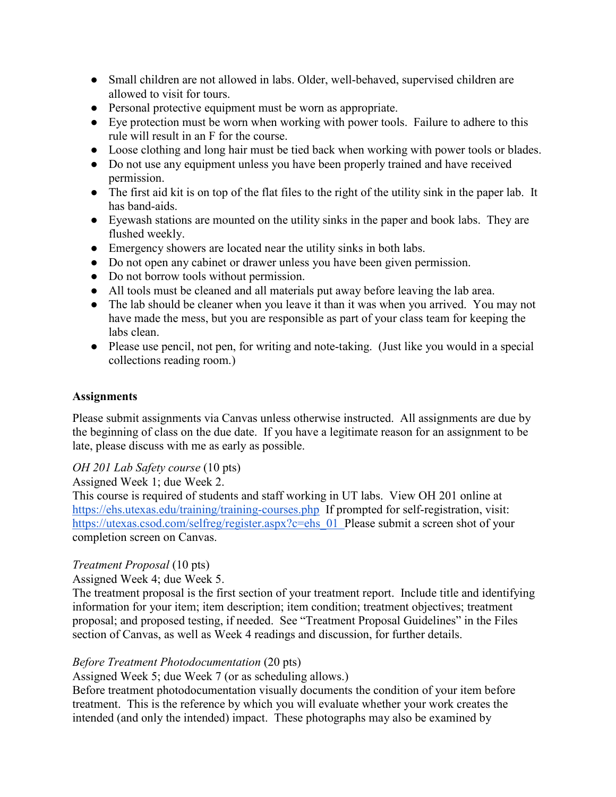- Small children are not allowed in labs. Older, well-behaved, supervised children are allowed to visit for tours.
- Personal protective equipment must be worn as appropriate.
- Eye protection must be worn when working with power tools. Failure to adhere to this rule will result in an F for the course.
- Loose clothing and long hair must be tied back when working with power tools or blades.
- Do not use any equipment unless you have been properly trained and have received permission.
- The first aid kit is on top of the flat files to the right of the utility sink in the paper lab. It has band-aids.
- Eyewash stations are mounted on the utility sinks in the paper and book labs. They are flushed weekly.
- Emergency showers are located near the utility sinks in both labs.
- Do not open any cabinet or drawer unless you have been given permission.
- Do not borrow tools without permission.
- All tools must be cleaned and all materials put away before leaving the lab area.
- The lab should be cleaner when you leave it than it was when you arrived. You may not have made the mess, but you are responsible as part of your class team for keeping the labs clean.
- Please use pencil, not pen, for writing and note-taking. (Just like you would in a special collections reading room.)

### **Assignments**

Please submit assignments via Canvas unless otherwise instructed. All assignments are due by the beginning of class on the due date. If you have a legitimate reason for an assignment to be late, please discuss with me as early as possible.

### *OH 201 Lab Safety course* (10 pts)

Assigned Week 1; due Week 2.

This course is required of students and staff working in UT labs. View OH 201 online at <https://ehs.utexas.edu/training/training-courses.php>If prompted for self-registration, visit: [https://utexas.csod.com/selfreg/register.aspx?c=ehs\\_01](https://utexas.csod.com/selfreg/register.aspx?c=ehs_01) Please submit a screen shot of your completion screen on Canvas.

## *Treatment Proposal* (10 pts)

### Assigned Week 4; due Week 5.

The treatment proposal is the first section of your treatment report. Include title and identifying information for your item; item description; item condition; treatment objectives; treatment proposal; and proposed testing, if needed. See "Treatment Proposal Guidelines" in the Files section of Canvas, as well as Week 4 readings and discussion, for further details.

### *Before Treatment Photodocumentation* (20 pts)

Assigned Week 5; due Week 7 (or as scheduling allows.)

Before treatment photodocumentation visually documents the condition of your item before treatment. This is the reference by which you will evaluate whether your work creates the intended (and only the intended) impact. These photographs may also be examined by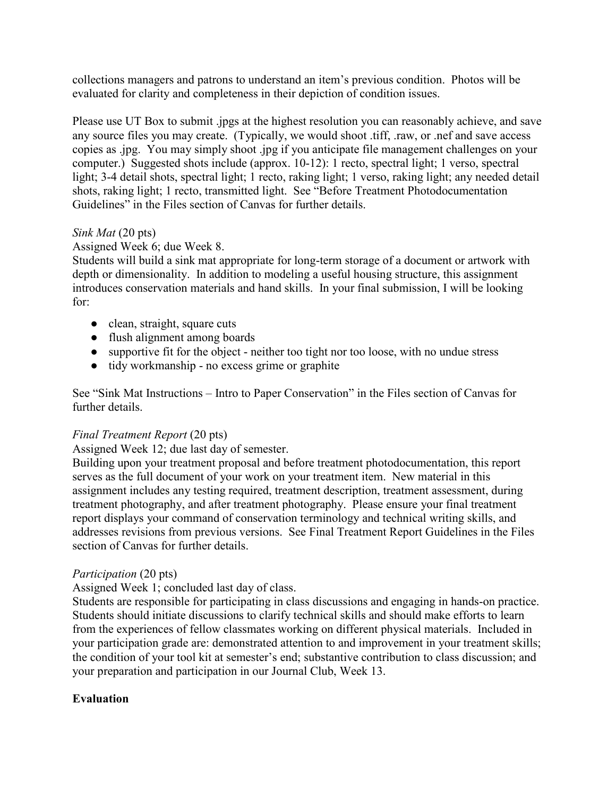collections managers and patrons to understand an item's previous condition. Photos will be evaluated for clarity and completeness in their depiction of condition issues.

Please use UT Box to submit .jpgs at the highest resolution you can reasonably achieve, and save any source files you may create. (Typically, we would shoot .tiff, .raw, or .nef and save access copies as .jpg. You may simply shoot .jpg if you anticipate file management challenges on your computer.) Suggested shots include (approx. 10-12): 1 recto, spectral light; 1 verso, spectral light; 3-4 detail shots, spectral light; 1 recto, raking light; 1 verso, raking light; any needed detail shots, raking light; 1 recto, transmitted light. See "Before Treatment Photodocumentation Guidelines" in the Files section of Canvas for further details.

### *Sink Mat* (20 pts)

Assigned Week 6; due Week 8.

Students will build a sink mat appropriate for long-term storage of a document or artwork with depth or dimensionality. In addition to modeling a useful housing structure, this assignment introduces conservation materials and hand skills. In your final submission, I will be looking for:

- clean, straight, square cuts
- flush alignment among boards
- supportive fit for the object neither too tight nor too loose, with no undue stress
- tidy workmanship no excess grime or graphite

See "Sink Mat Instructions – Intro to Paper Conservation" in the Files section of Canvas for further details.

### *Final Treatment Report* (20 pts)

Assigned Week 12; due last day of semester.

Building upon your treatment proposal and before treatment photodocumentation, this report serves as the full document of your work on your treatment item. New material in this assignment includes any testing required, treatment description, treatment assessment, during treatment photography, and after treatment photography. Please ensure your final treatment report displays your command of conservation terminology and technical writing skills, and addresses revisions from previous versions. See Final Treatment Report Guidelines in the Files section of Canvas for further details.

### *Participation* (20 pts)

Assigned Week 1; concluded last day of class.

Students are responsible for participating in class discussions and engaging in hands-on practice. Students should initiate discussions to clarify technical skills and should make efforts to learn from the experiences of fellow classmates working on different physical materials. Included in your participation grade are: demonstrated attention to and improvement in your treatment skills; the condition of your tool kit at semester's end; substantive contribution to class discussion; and your preparation and participation in our Journal Club, Week 13.

### **Evaluation**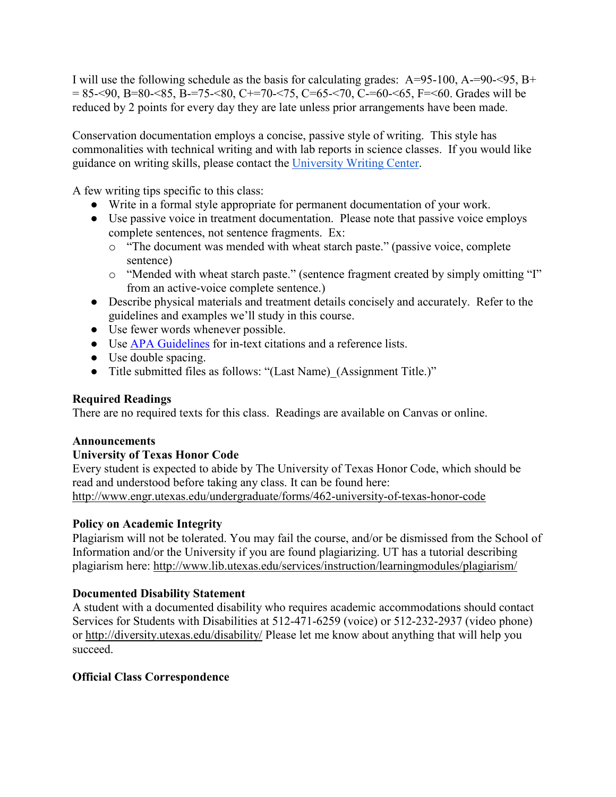I will use the following schedule as the basis for calculating grades:  $A=95-100$ ,  $A=-90-95$ ,  $B+$  $= 85 - 90$ , B=80- $< 85$ , B=75- $< 80$ , C+=70- $< 75$ , C=65- $< 70$ , C-=60- $< 65$ , F= $< 60$ . Grades will be reduced by 2 points for every day they are late unless prior arrangements have been made.

Conservation documentation employs a concise, passive style of writing. This style has commonalities with technical writing and with lab reports in science classes. If you would like guidance on writing skills, please contact the [University Writing Center.](https://uwc.utexas.edu/)

A few writing tips specific to this class:

- Write in a formal style appropriate for permanent documentation of your work.
- Use passive voice in treatment documentation. Please note that passive voice employs complete sentences, not sentence fragments. Ex:
	- o "The document was mended with wheat starch paste." (passive voice, complete sentence)
	- o "Mended with wheat starch paste." (sentence fragment created by simply omitting "I" from an active-voice complete sentence.)
- Describe physical materials and treatment details concisely and accurately. Refer to the guidelines and examples we'll study in this course.
- Use fewer words whenever possible.
- Use [APA Guidelines](https://owl.purdue.edu/owl/research_and_citation/apa_style/apa_formatting_and_style_guide/in_text_citations_the_basics.html) for in-text citations and a reference lists.
- Use double spacing.
- Title submitted files as follows: "(Last Name) (Assignment Title.)"

## **Required Readings**

There are no required texts for this class. Readings are available on Canvas or online.

### **Announcements**

## **University of Texas Honor Code**

Every student is expected to abide by The University of Texas Honor Code, which should be read and understood before taking any class. It can be found here: <http://www.engr.utexas.edu/undergraduate/forms/462-university-of-texas-honor-code>

## **Policy on Academic Integrity**

Plagiarism will not be tolerated. You may fail the course, and/or be dismissed from the School of Information and/or the University if you are found plagiarizing. UT has a tutorial describing plagiarism here:<http://www.lib.utexas.edu/services/instruction/learningmodules/plagiarism/>

### **Documented Disability Statement**

A student with a documented disability who requires academic accommodations should contact Services for Students with Disabilities at 512-471-6259 (voice) or 512-232-2937 (video phone) or<http://diversity.utexas.edu/disability/> Please let me know about anything that will help you succeed.

## **Official Class Correspondence**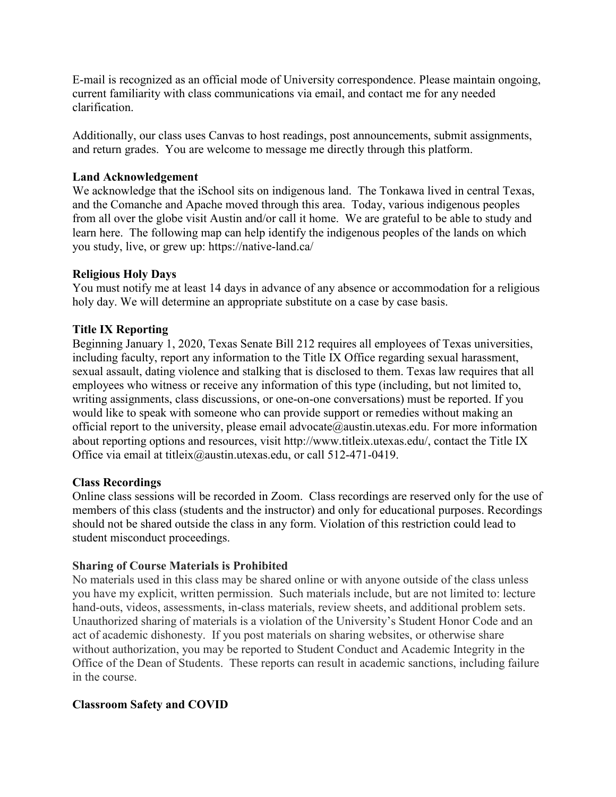E-mail is recognized as an official mode of University correspondence. Please maintain ongoing, current familiarity with class communications via email, and contact me for any needed clarification.

Additionally, our class uses Canvas to host readings, post announcements, submit assignments, and return grades. You are welcome to message me directly through this platform.

#### **Land Acknowledgement**

We acknowledge that the iSchool sits on indigenous land. The Tonkawa lived in central Texas, and the Comanche and Apache moved through this area. Today, various indigenous peoples from all over the globe visit Austin and/or call it home. We are grateful to be able to study and learn here. The following map can help identify the indigenous peoples of the lands on which you study, live, or grew up: https://native-land.ca/

### **Religious Holy Days**

You must notify me at least 14 days in advance of any absence or accommodation for a religious holy day. We will determine an appropriate substitute on a case by case basis.

### **Title IX Reporting**

Beginning January 1, 2020, Texas Senate Bill 212 requires all employees of Texas universities, including faculty, report any information to the Title IX Office regarding sexual harassment, sexual assault, dating violence and stalking that is disclosed to them. Texas law requires that all employees who witness or receive any information of this type (including, but not limited to, writing assignments, class discussions, or one-on-one conversations) must be reported. If you would like to speak with someone who can provide support or remedies without making an official report to the university, please email advocate@austin.utexas.edu. For more information about reporting options and resources, visit http://www.titleix.utexas.edu/, contact the Title IX Office via email at titleix@austin.utexas.edu, or call 512-471-0419.

#### **Class Recordings**

Online class sessions will be recorded in Zoom. Class recordings are reserved only for the use of members of this class (students and the instructor) and only for educational purposes. Recordings should not be shared outside the class in any form. Violation of this restriction could lead to student misconduct proceedings.

#### **Sharing of Course Materials is Prohibited**

No materials used in this class may be shared online or with anyone outside of the class unless you have my explicit, written permission. Such materials include, but are not limited to: lecture hand-outs, videos, assessments, in-class materials, review sheets, and additional problem sets. Unauthorized sharing of materials is a violation of the University's Student Honor Code and an act of academic dishonesty. If you post materials on sharing websites, or otherwise share without authorization, you may be reported to Student Conduct and Academic Integrity in the Office of the Dean of Students. These reports can result in academic sanctions, including failure in the course.

### **Classroom Safety and COVID**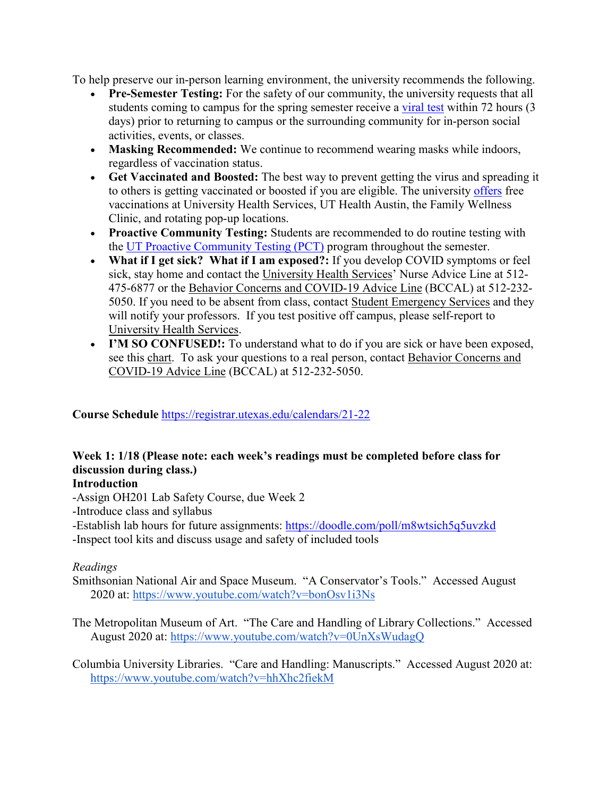To help preserve our in-person learning environment, the university recommends the following.

- **Pre-Semester Testing:** For the safety of our community, the university requests that all students coming to campus for the spring semester receive a [viral test](https://t.e2ma.net/click/jxvx3f/7bjgtqs/j16cicb) within 72 hours (3 days) prior to returning to campus or the surrounding community for in-person social activities, events, or classes.
- **Masking Recommended:** We continue to recommend wearing masks while indoors, regardless of vaccination status.
- **Get Vaccinated and Boosted:** The best way to prevent getting the virus and spreading it to others is getting vaccinated or boosted if you are eligible. The university [offers](https://t.e2ma.net/click/7jh05f/7bjgtqs/nornjcb) free vaccinations at University Health Services, UT Health Austin, the Family Wellness Clinic, and rotating pop-up locations.
- **Proactive Community Testing:** Students are recommended to do routine testing with the [UT Proactive Community Testing \(PCT\)](https://t.e2ma.net/click/7jh05f/7bjgtqs/zxmnjcb) program throughout the semester.
- **What if I get sick? What if I am exposed?:** If you develop COVID symptoms or feel sick, stay home and contact the [University Health Services'](https://www.healthyhorns.utexas.edu/) Nurse Advice Line at 512- 475-6877 or the [Behavior Concerns and COVID-19 Advice Line](https://safety.utexas.edu/behavior-concerns-advice-line) (BCCAL) at 512-232- 5050. If you need to be absent from class, contact [Student Emergency Services](https://t.e2ma.net/click/l02i5z/dmu8psb/9yd5cm4) and they will notify your professors. If you test positive off campus, please self-report to [University Health Services.](https://healthyhorns.utexas.edu/coronavirus_self_report.html)
- **I'M SO CONFUSED!:** To understand what to do if you are sick or have been exposed, see this [chart.](https://healthyhorns.utexas.edu/coronavirus_exposure_action_chart.html) To ask your questions to a real person, contact [Behavior Concerns and](https://safety.utexas.edu/behavior-concerns-advice-line)  [COVID-19 Advice Line](https://safety.utexas.edu/behavior-concerns-advice-line) (BCCAL) at 512-232-5050.

### **Course Schedule** <https://registrar.utexas.edu/calendars/21-22>

# **Week 1: 1/18 (Please note: each week's readings must be completed before class for discussion during class.)**

### **Introduction**

- -Assign OH201 Lab Safety Course, due Week 2
- -Introduce class and syllabus
- -Establish lab hours for future assignments:<https://doodle.com/poll/m8wtsich5q5uvzkd>
- -Inspect tool kits and discuss usage and safety of included tools

### *Readings*

- Smithsonian National Air and Space Museum. "A Conservator's Tools." Accessed August 2020 at:<https://www.youtube.com/watch?v=bonOsv1i3Ns>
- The Metropolitan Museum of Art. "The Care and Handling of Library Collections." Accessed August 2020 at:<https://www.youtube.com/watch?v=0UnXsWudagQ>

Columbia University Libraries. "Care and Handling: Manuscripts." Accessed August 2020 at: <https://www.youtube.com/watch?v=hhXhc2fiekM>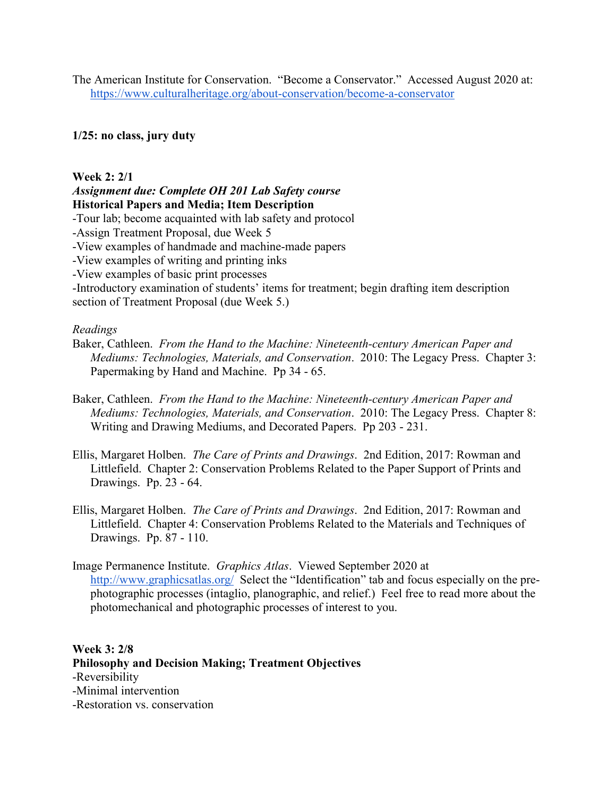The American Institute for Conservation. "Become a Conservator." Accessed August 2020 at: <https://www.culturalheritage.org/about-conservation/become-a-conservator>

#### **1/25: no class, jury duty**

#### **Week 2: 2/1**

#### *Assignment due: Complete OH 201 Lab Safety course*  **Historical Papers and Media; Item Description**

-Tour lab; become acquainted with lab safety and protocol

-Assign Treatment Proposal, due Week 5

-View examples of handmade and machine-made papers

-View examples of writing and printing inks

-View examples of basic print processes

-Introductory examination of students' items for treatment; begin drafting item description section of Treatment Proposal (due Week 5.)

#### *Readings*

- Baker, Cathleen. *From the Hand to the Machine: Nineteenth-century American Paper and Mediums: Technologies, Materials, and Conservation*. 2010: The Legacy Press. Chapter 3: Papermaking by Hand and Machine. Pp 34 - 65.
- Baker, Cathleen. *From the Hand to the Machine: Nineteenth-century American Paper and Mediums: Technologies, Materials, and Conservation*. 2010: The Legacy Press. Chapter 8: Writing and Drawing Mediums, and Decorated Papers. Pp 203 - 231.
- Ellis, Margaret Holben. *The Care of Prints and Drawings*. 2nd Edition, 2017: Rowman and Littlefield. Chapter 2: Conservation Problems Related to the Paper Support of Prints and Drawings. Pp. 23 - 64.
- Ellis, Margaret Holben. *The Care of Prints and Drawings*. 2nd Edition, 2017: Rowman and Littlefield. Chapter 4: Conservation Problems Related to the Materials and Techniques of Drawings. Pp. 87 - 110.
- Image Permanence Institute. *Graphics Atlas*. Viewed September 2020 at <http://www.graphicsatlas.org/>Select the "Identification" tab and focus especially on the prephotographic processes (intaglio, planographic, and relief.) Feel free to read more about the photomechanical and photographic processes of interest to you.

### **Week 3: 2/8 Philosophy and Decision Making; Treatment Objectives** -Reversibility -Minimal intervention -Restoration vs. conservation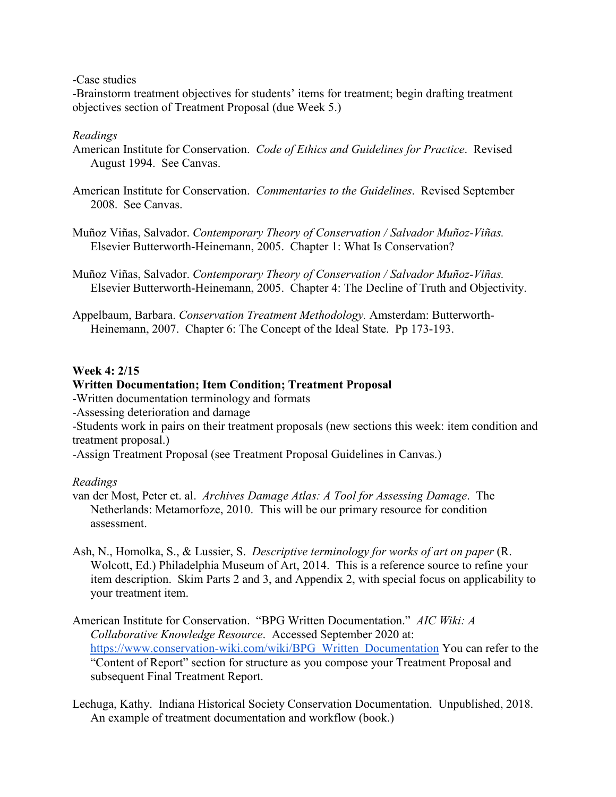-Case studies

-Brainstorm treatment objectives for students' items for treatment; begin drafting treatment objectives section of Treatment Proposal (due Week 5.)

### *Readings*

- American Institute for Conservation. *Code of Ethics and Guidelines for Practice*. Revised August 1994. See Canvas.
- American Institute for Conservation. *Commentaries to the Guidelines*. Revised September 2008. See Canvas.
- Muñoz Viñas, Salvador. *Contemporary Theory of Conservation / Salvador Muñoz-Viñas.* Elsevier Butterworth-Heinemann, 2005. Chapter 1: What Is Conservation?
- Muñoz Viñas, Salvador. *Contemporary Theory of Conservation / Salvador Muñoz-Viñas.* Elsevier Butterworth-Heinemann, 2005. Chapter 4: The Decline of Truth and Objectivity.
- Appelbaum, Barbara. *Conservation Treatment Methodology.* Amsterdam: Butterworth-Heinemann, 2007. Chapter 6: The Concept of the Ideal State. Pp 173-193.

### **Week 4: 2/15**

### **Written Documentation; Item Condition; Treatment Proposal**

- -Written documentation terminology and formats
- -Assessing deterioration and damage

-Students work in pairs on their treatment proposals (new sections this week: item condition and treatment proposal.)

-Assign Treatment Proposal (see Treatment Proposal Guidelines in Canvas.)

- van der Most, Peter et. al. *Archives Damage Atlas: A Tool for Assessing Damage*. The Netherlands: Metamorfoze, 2010. This will be our primary resource for condition assessment.
- Ash, N., Homolka, S., & Lussier, S. *Descriptive terminology for works of art on paper* (R. Wolcott, Ed.) Philadelphia Museum of Art, 2014. This is a reference source to refine your item description. Skim Parts 2 and 3, and Appendix 2, with special focus on applicability to your treatment item.
- American Institute for Conservation. "BPG Written Documentation." *AIC Wiki: A Collaborative Knowledge Resource*. Accessed September 2020 at: [https://www.conservation-wiki.com/wiki/BPG\\_Written\\_Documentation](https://www.conservation-wiki.com/wiki/BPG_Written_Documentation) You can refer to the "Content of Report" section for structure as you compose your Treatment Proposal and subsequent Final Treatment Report.
- Lechuga, Kathy. Indiana Historical Society Conservation Documentation. Unpublished, 2018. An example of treatment documentation and workflow (book.)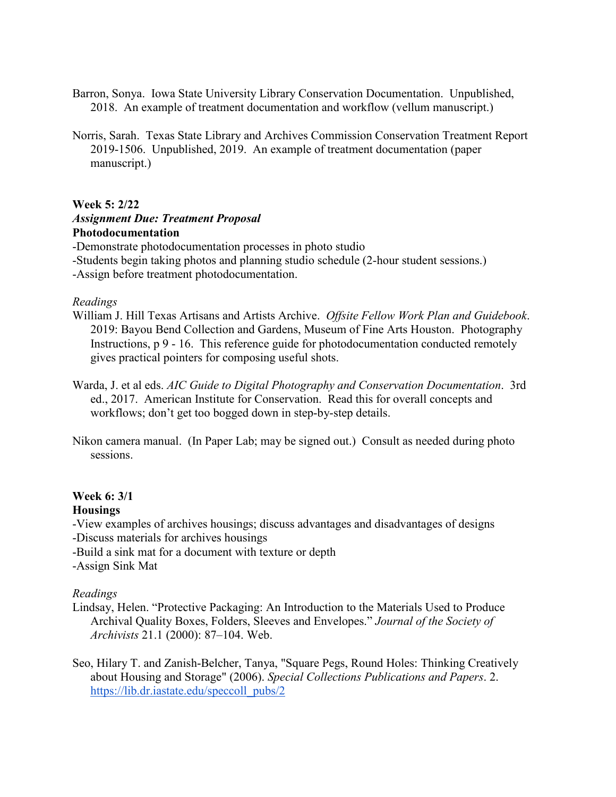- Barron, Sonya. Iowa State University Library Conservation Documentation. Unpublished, 2018. An example of treatment documentation and workflow (vellum manuscript.)
- Norris, Sarah. Texas State Library and Archives Commission Conservation Treatment Report 2019-1506. Unpublished, 2019. An example of treatment documentation (paper manuscript.)

#### **Week 5: 2/22**

# *Assignment Due: Treatment Proposal* **Photodocumentation**

-Demonstrate photodocumentation processes in photo studio -Students begin taking photos and planning studio schedule (2-hour student sessions.) -Assign before treatment photodocumentation.

#### *Readings*

- William J. Hill Texas Artisans and Artists Archive. *Offsite Fellow Work Plan and Guidebook*. 2019: Bayou Bend Collection and Gardens, Museum of Fine Arts Houston. Photography Instructions, p 9 - 16. This reference guide for photodocumentation conducted remotely gives practical pointers for composing useful shots.
- Warda, J. et al eds. *AIC Guide to Digital Photography and Conservation Documentation*. 3rd ed., 2017. American Institute for Conservation. Read this for overall concepts and workflows; don't get too bogged down in step-by-step details.
- Nikon camera manual. (In Paper Lab; may be signed out.) Consult as needed during photo sessions.

#### **Week 6: 3/1 Housings**

-View examples of archives housings; discuss advantages and disadvantages of designs -Discuss materials for archives housings

-Build a sink mat for a document with texture or depth

-Assign Sink Mat

- Lindsay, Helen. "Protective Packaging: An Introduction to the Materials Used to Produce Archival Quality Boxes, Folders, Sleeves and Envelopes." *Journal of the Society of Archivists* 21.1 (2000): 87–104. Web.
- Seo, Hilary T. and Zanish-Belcher, Tanya, "Square Pegs, Round Holes: Thinking Creatively about Housing and Storage" (2006). *Special Collections Publications and Papers*. 2. [https://lib.dr.iastate.edu/speccoll\\_pubs/2](https://lib.dr.iastate.edu/speccoll_pubs/2)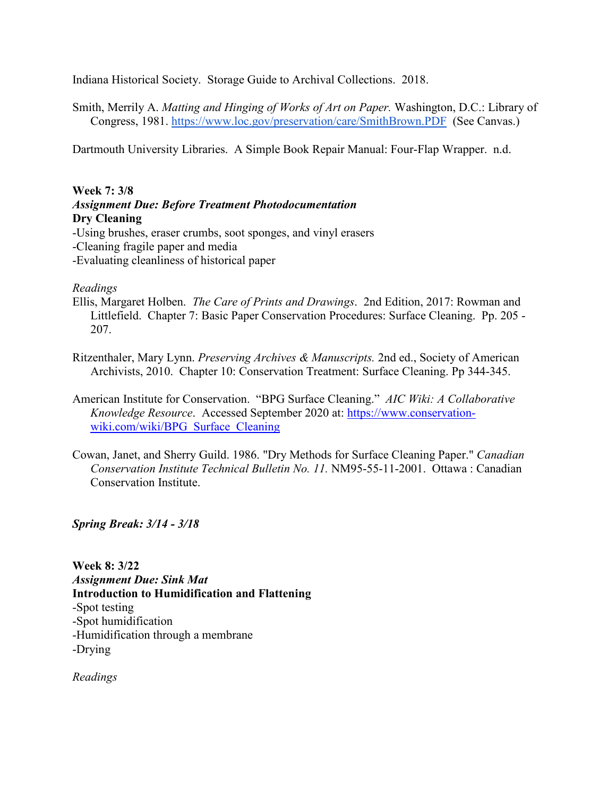Indiana Historical Society. Storage Guide to Archival Collections. 2018.

Smith, Merrily A. *Matting and Hinging of Works of Art on Paper.* Washington, D.C.: Library of Congress, 1981.<https://www.loc.gov/preservation/care/SmithBrown.PDF>(See Canvas.)

Dartmouth University Libraries. A Simple Book Repair Manual: Four-Flap Wrapper. n.d.

#### **Week 7: 3/8** *Assignment Due: Before Treatment Photodocumentation* **Dry Cleaning**

-Using brushes, eraser crumbs, soot sponges, and vinyl erasers -Cleaning fragile paper and media -Evaluating cleanliness of historical paper

#### *Readings*

- Ellis, Margaret Holben. *The Care of Prints and Drawings*. 2nd Edition, 2017: Rowman and Littlefield. Chapter 7: Basic Paper Conservation Procedures: Surface Cleaning. Pp. 205 - 207.
- Ritzenthaler, Mary Lynn. *Preserving Archives & Manuscripts.* 2nd ed., Society of American Archivists, 2010. Chapter 10: Conservation Treatment: Surface Cleaning. Pp 344-345.
- American Institute for Conservation. "BPG Surface Cleaning." *AIC Wiki: A Collaborative Knowledge Resource*. Accessed September 2020 at: [https://www.conservation](https://www.conservation-wiki.com/wiki/BPG_Surface_Cleaning)[wiki.com/wiki/BPG\\_Surface\\_Cleaning](https://www.conservation-wiki.com/wiki/BPG_Surface_Cleaning)
- Cowan, Janet, and Sherry Guild. 1986. ["Dry Methods for Surface Cleaning Paper.](http://publications.gc.ca/collections/collection_2016/pch/NM95-55-11-2001-eng.pdf)" *Canadian Conservation Institute Technical Bulletin No. 11.* NM95-55-11-2001. Ottawa : Canadian Conservation Institute.

*Spring Break: 3/14 - 3/18*

**Week 8: 3/22** *Assignment Due: Sink Mat*  **Introduction to Humidification and Flattening** -Spot testing -Spot humidification -Humidification through a membrane -Drying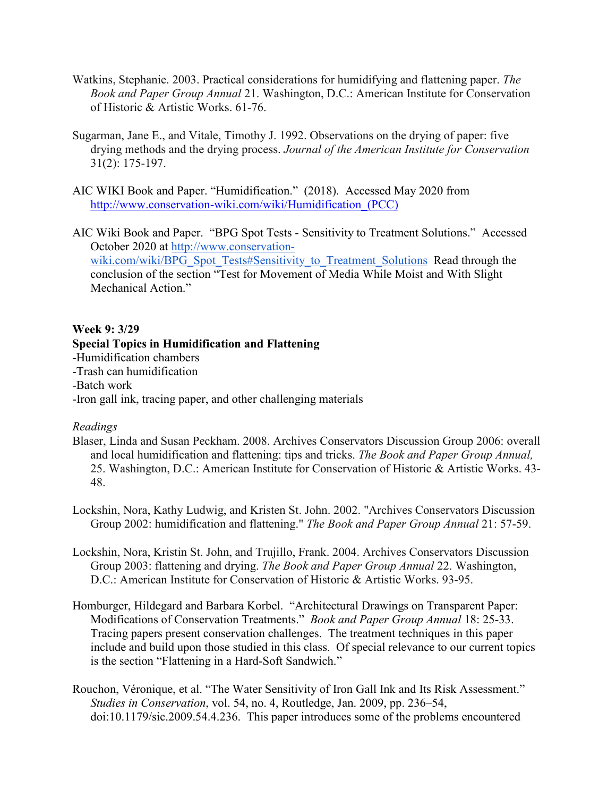- Watkins, Stephanie. 2003. Practical considerations for humidifying and flattening paper. *The Book and Paper Group Annual* 21. Washington, D.C.: American Institute for Conservation of Historic & Artistic Works. 61-76.
- Sugarman, Jane E., and Vitale, Timothy J. 1992. Observations on the drying of paper: five drying methods and the drying process. *Journal of the American Institute for Conservation* 31(2): 175-197.
- AIC WIKI Book and Paper. "Humidification." (2018). Accessed May 2020 from [http://www.conservation-wiki.com/wiki/Humidification\\_\(PCC\)](http://www.conservation-wiki.com/wiki/Humidification_(PCC))
- AIC Wiki Book and Paper. "BPG Spot Tests Sensitivity to Treatment Solutions." Accessed October 2020 at [http://www.conservation](http://www.conservation-wiki.com/wiki/BPG_Spot_Tests#Sensitivity_to_Treatment_Solutions)[wiki.com/wiki/BPG\\_Spot\\_Tests#Sensitivity\\_to\\_Treatment\\_Solutions](http://www.conservation-wiki.com/wiki/BPG_Spot_Tests#Sensitivity_to_Treatment_Solutions) Read through the conclusion of the section "Test for Movement of Media While Moist and With Slight Mechanical Action."

#### **Week 9: 3/29**

#### **Special Topics in Humidification and Flattening**

-Humidification chambers

- -Trash can humidification
- -Batch work
- -Iron gall ink, tracing paper, and other challenging materials

- Blaser, Linda and Susan Peckham. 2008. Archives Conservators Discussion Group 2006: overall and local humidification and flattening: tips and tricks. *The Book and Paper Group Annual,* 25. Washington, D.C.: American Institute for Conservation of Historic & Artistic Works. 43- 48.
- Lockshin, Nora, Kathy Ludwig, and Kristen St. John. 2002. "Archives Conservators Discussion Group 2002: humidification and flattening." *The Book and Paper Group Annual* 21: 57-59.
- Lockshin, Nora, Kristin St. John, and Trujillo, Frank. 2004. Archives Conservators Discussion Group 2003: flattening and drying. *The Book and Paper Group Annual* 22. Washington, D.C.: American Institute for Conservation of Historic & Artistic Works. 93-95.
- Homburger, Hildegard and Barbara Korbel. "Architectural Drawings on Transparent Paper: Modifications of Conservation Treatments." *Book and Paper Group Annual* 18: 25-33. Tracing papers present conservation challenges. The treatment techniques in this paper include and build upon those studied in this class. Of special relevance to our current topics is the section "Flattening in a Hard-Soft Sandwich."
- Rouchon, Véronique, et al. "The Water Sensitivity of Iron Gall Ink and Its Risk Assessment." *Studies in Conservation*, vol. 54, no. 4, Routledge, Jan. 2009, pp. 236–54, doi:10.1179/sic.2009.54.4.236. This paper introduces some of the problems encountered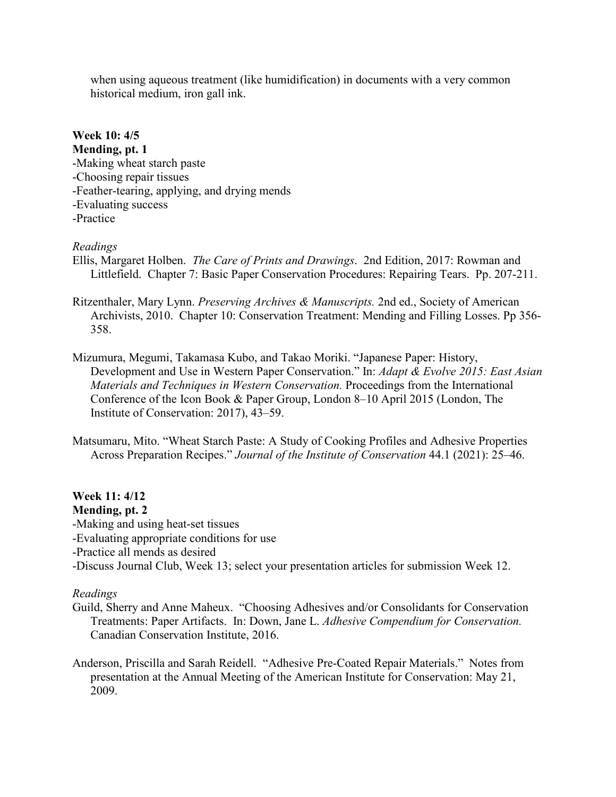when using aqueous treatment (like humidification) in documents with a very common historical medium, iron gall ink.

### **Week 10: 4/5 Mending, pt. 1** -Making wheat starch paste -Choosing repair tissues -Feather-tearing, applying, and drying mends -Evaluating success -Practice

### *Readings*

Ellis, Margaret Holben. *The Care of Prints and Drawings*. 2nd Edition, 2017: Rowman and Littlefield. Chapter 7: Basic Paper Conservation Procedures: Repairing Tears. Pp. 207-211.

- Ritzenthaler, Mary Lynn. *Preserving Archives & Manuscripts.* 2nd ed., Society of American Archivists, 2010. Chapter 10: Conservation Treatment: Mending and Filling Losses. Pp 356- 358.
- Mizumura, Megumi, Takamasa Kubo, and Takao Moriki. "Japanese Paper: History, Development and Use in Western Paper Conservation." In: *Adapt & Evolve 2015: East Asian Materials and Techniques in Western Conservation.* Proceedings from the International Conference of the Icon Book & Paper Group, London 8–10 April 2015 (London, The Institute of Conservation: 2017), 43–59.

Matsumaru, Mito. "Wheat Starch Paste: A Study of Cooking Profiles and Adhesive Properties Across Preparation Recipes." *Journal of the Institute of Conservation* 44.1 (2021): 25–46.

## **Week 11: 4/12**

### **Mending, pt. 2**

-Making and using heat-set tissues

-Evaluating appropriate conditions for use

-Practice all mends as desired

-Discuss Journal Club, Week 13; select your presentation articles for submission Week 12.

- Guild, Sherry and Anne Maheux. "Choosing Adhesives and/or Consolidants for Conservation Treatments: Paper Artifacts. In: Down, Jane L. *Adhesive Compendium for Conservation.* Canadian Conservation Institute, 2016.
- Anderson, Priscilla and Sarah Reidell. "Adhesive Pre-Coated Repair Materials." Notes from presentation at the Annual Meeting of the American Institute for Conservation: May 21, 2009.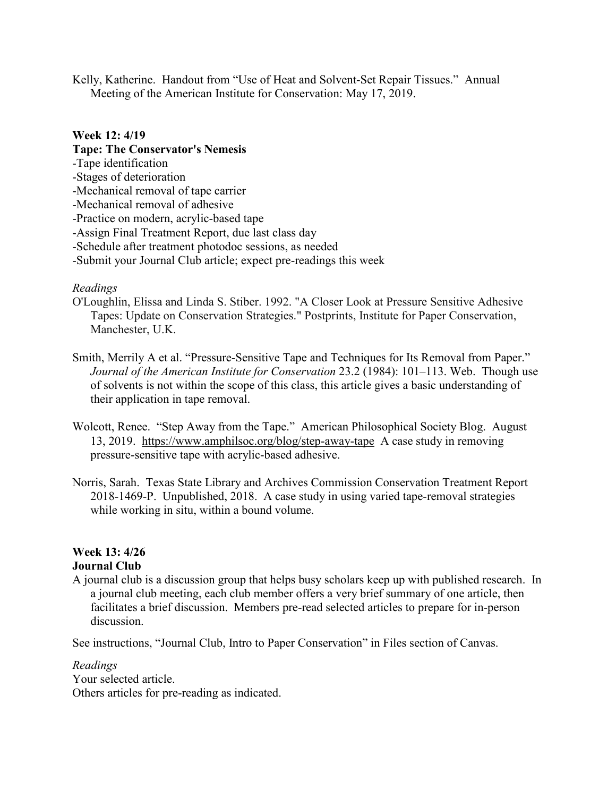Kelly, Katherine. Handout from "Use of Heat and Solvent-Set Repair Tissues." Annual Meeting of the American Institute for Conservation: May 17, 2019.

#### **Week 12: 4/19**

**Tape: The Conservator's Nemesis** -Tape identification -Stages of deterioration -Mechanical removal of tape carrier -Mechanical removal of adhesive -Practice on modern, acrylic-based tape -Assign Final Treatment Report, due last class day -Schedule after treatment photodoc sessions, as needed -Submit your Journal Club article; expect pre-readings this week

### *Readings*

- O'Loughlin, Elissa and Linda S. Stiber. 1992. "A Closer Look at Pressure Sensitive Adhesive Tapes: Update on Conservation Strategies." Postprints, Institute for Paper Conservation, Manchester, U.K.
- Smith, Merrily A et al. "Pressure-Sensitive Tape and Techniques for Its Removal from Paper." *Journal of the American Institute for Conservation* 23.2 (1984): 101–113. Web. Though use of solvents is not within the scope of this class, this article gives a basic understanding of their application in tape removal.
- Wolcott, Renee. "Step Away from the Tape." American Philosophical Society Blog. August 13, 2019. <https://www.amphilsoc.org/blog/step-away-tape>A case study in removing pressure-sensitive tape with acrylic-based adhesive.
- Norris, Sarah. Texas State Library and Archives Commission Conservation Treatment Report 2018-1469-P. Unpublished, 2018. A case study in using varied tape-removal strategies while working in situ, within a bound volume.

# **Week 13: 4/26**

### **Journal Club**

A journal club is a discussion group that helps busy scholars keep up with published research. In a journal club meeting, each club member offers a very brief summary of one article, then facilitates a brief discussion. Members pre-read selected articles to prepare for in-person discussion.

See instructions, "Journal Club, Intro to Paper Conservation" in Files section of Canvas.

*Readings* Your selected article. Others articles for pre-reading as indicated.